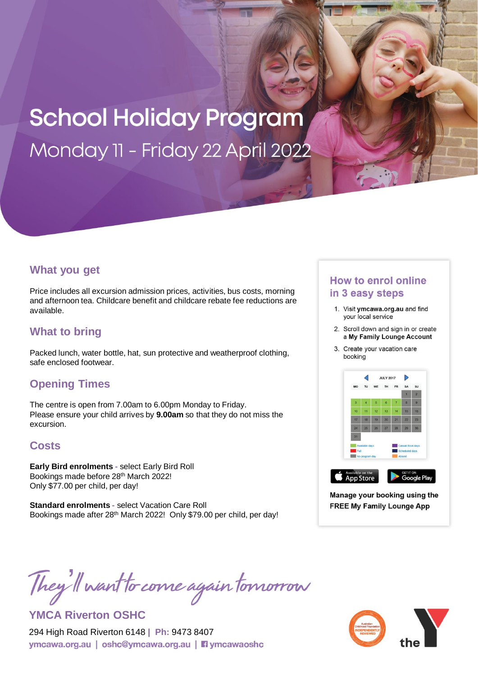# **School Holiday Program** Monday 11 - Friday 22 April 2022

### **What you get**

Price includes all excursion admission prices, activities, bus costs, morning and afternoon tea. Childcare benefit and childcare rebate fee reductions are available.

## **What to bring**

Packed lunch, water bottle, hat, sun protective and weatherproof clothing, safe enclosed footwear.

# **Opening Times**

The centre is open from 7.00am to 6.00pm Monday to Friday. Please ensure your child arrives by **9.00am** so that they do not miss the excursion.

## **Costs**

**Early Bird enrolments -** select Early Bird Roll Bookings made before 28th March 2022! Only \$77.00 per child, per day!

**Standard enrolments -** select Vacation Care Roll Bookings made after 28th March 2022! Only \$79.00 per child, per day!

#### **How to enrol online** in 3 easy steps

- 1. Visit ymcawa.org.au and find your local service
- 2. Scroll down and sign in or create a My Family Lounge Account
- 3. Create your vacation care booking



Manage your booking using the **FREE My Family Lounge App** 

They'll want to come again tomorrow

**YMCA Riverton OSHC**

294 High Road Riverton 6148 **| Ph:** 9473 8407ymcawa.org.au | oshc@ymcawa.org.au | nymcawaoshc